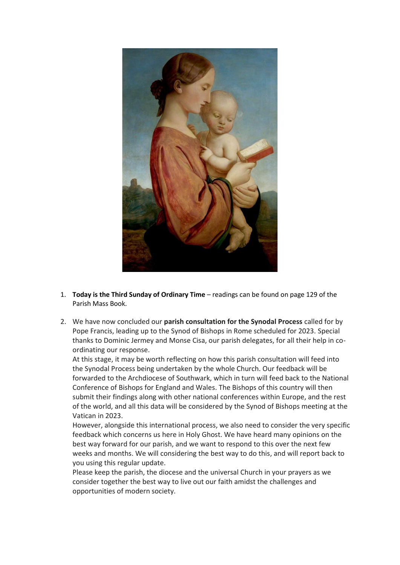

- 1. **Today is the Third Sunday of Ordinary Time** readings can be found on page 129 of the Parish Mass Book.
- 2. We have now concluded our **parish consultation for the Synodal Process** called for by Pope Francis, leading up to the Synod of Bishops in Rome scheduled for 2023. Special thanks to Dominic Jermey and Monse Cisa, our parish delegates, for all their help in coordinating our response.

At this stage, it may be worth reflecting on how this parish consultation will feed into the Synodal Process being undertaken by the whole Church. Our feedback will be forwarded to the Archdiocese of Southwark, which in turn will feed back to the National Conference of Bishops for England and Wales. The Bishops of this country will then submit their findings along with other national conferences within Europe, and the rest of the world, and all this data will be considered by the Synod of Bishops meeting at the Vatican in 2023.

However, alongside this international process, we also need to consider the very specific feedback which concerns us here in Holy Ghost. We have heard many opinions on the best way forward for our parish, and we want to respond to this over the next few weeks and months. We will considering the best way to do this, and will report back to you using this regular update.

Please keep the parish, the diocese and the universal Church in your prayers as we consider together the best way to live out our faith amidst the challenges and opportunities of modern society.